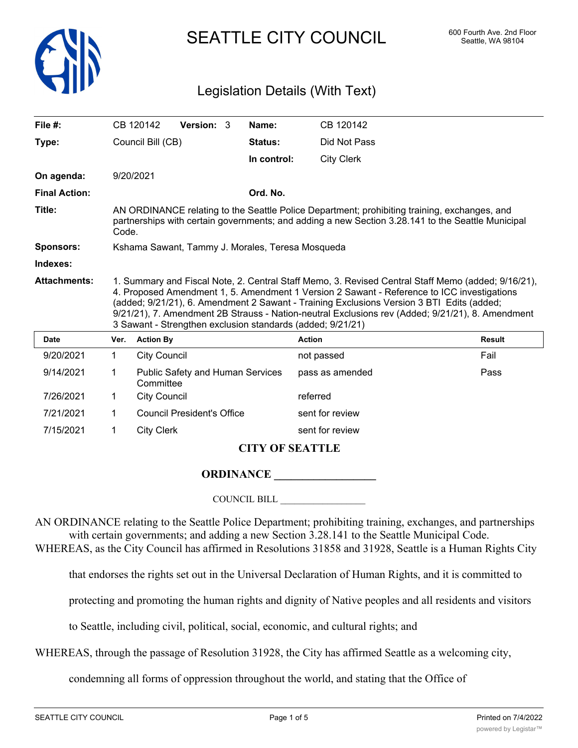

SEATTLE CITY COUNCIL 600 Fourth Ave. 2nd Floor

## Legislation Details (With Text)

| File #:              |                                                                                                                                                                                                                                                                                                                                                                                                                                                                 | CB 120142           | Version: 3                              |  | Name:          | CB 120142         |               |  |  |
|----------------------|-----------------------------------------------------------------------------------------------------------------------------------------------------------------------------------------------------------------------------------------------------------------------------------------------------------------------------------------------------------------------------------------------------------------------------------------------------------------|---------------------|-----------------------------------------|--|----------------|-------------------|---------------|--|--|
| Type:                |                                                                                                                                                                                                                                                                                                                                                                                                                                                                 | Council Bill (CB)   |                                         |  | <b>Status:</b> | Did Not Pass      |               |  |  |
|                      |                                                                                                                                                                                                                                                                                                                                                                                                                                                                 |                     |                                         |  | In control:    | <b>City Clerk</b> |               |  |  |
| On agenda:           |                                                                                                                                                                                                                                                                                                                                                                                                                                                                 | 9/20/2021           |                                         |  |                |                   |               |  |  |
| <b>Final Action:</b> |                                                                                                                                                                                                                                                                                                                                                                                                                                                                 |                     |                                         |  | Ord. No.       |                   |               |  |  |
| Title:               | AN ORDINANCE relating to the Seattle Police Department; prohibiting training, exchanges, and<br>partnerships with certain governments; and adding a new Section 3.28.141 to the Seattle Municipal<br>Code.                                                                                                                                                                                                                                                      |                     |                                         |  |                |                   |               |  |  |
| <b>Sponsors:</b>     | Kshama Sawant, Tammy J. Morales, Teresa Mosqueda                                                                                                                                                                                                                                                                                                                                                                                                                |                     |                                         |  |                |                   |               |  |  |
| Indexes:             |                                                                                                                                                                                                                                                                                                                                                                                                                                                                 |                     |                                         |  |                |                   |               |  |  |
| <b>Attachments:</b>  | 1. Summary and Fiscal Note, 2. Central Staff Memo, 3. Revised Central Staff Memo (added; 9/16/21),<br>4. Proposed Amendment 1, 5. Amendment 1 Version 2 Sawant - Reference to ICC investigations<br>(added; 9/21/21), 6. Amendment 2 Sawant - Training Exclusions Version 3 BTI Edits (added;<br>9/21/21), 7. Amendment 2B Strauss - Nation-neutral Exclusions rev (Added; 9/21/21), 8. Amendment<br>3 Sawant - Strengthen exclusion standards (added; 9/21/21) |                     |                                         |  |                |                   |               |  |  |
| <b>Date</b>          | Ver.                                                                                                                                                                                                                                                                                                                                                                                                                                                            | <b>Action By</b>    |                                         |  |                | <b>Action</b>     | <b>Result</b> |  |  |
| 9/20/2021            | 1                                                                                                                                                                                                                                                                                                                                                                                                                                                               | <b>City Council</b> |                                         |  |                | not passed        | Fail          |  |  |
| 9/14/2021            | 1                                                                                                                                                                                                                                                                                                                                                                                                                                                               | Committee           | <b>Public Safety and Human Services</b> |  |                | pass as amended   | Pass          |  |  |
| 7/26/2021            | 1                                                                                                                                                                                                                                                                                                                                                                                                                                                               | <b>City Council</b> |                                         |  |                | referred          |               |  |  |
| 7/21/2021            | 1                                                                                                                                                                                                                                                                                                                                                                                                                                                               |                     | <b>Council President's Office</b>       |  |                | sent for review   |               |  |  |
| 7/15/2021            | 1                                                                                                                                                                                                                                                                                                                                                                                                                                                               | <b>City Clerk</b>   |                                         |  |                | sent for review   |               |  |  |
|                      | <b>CITY OF SEATTLE</b>                                                                                                                                                                                                                                                                                                                                                                                                                                          |                     |                                         |  |                |                   |               |  |  |

## **ORDINANCE**

COUNCIL BILL \_\_\_\_\_\_\_\_\_\_\_\_\_\_\_\_\_\_

AN ORDINANCE relating to the Seattle Police Department; prohibiting training, exchanges, and partnerships with certain governments; and adding a new Section 3.28.141 to the Seattle Municipal Code. WHEREAS, as the City Council has affirmed in Resolutions 31858 and 31928, Seattle is a Human Rights City

that endorses the rights set out in the Universal Declaration of Human Rights, and it is committed to

protecting and promoting the human rights and dignity of Native peoples and all residents and visitors

to Seattle, including civil, political, social, economic, and cultural rights; and

WHEREAS, through the passage of Resolution 31928, the City has affirmed Seattle as a welcoming city,

condemning all forms of oppression throughout the world, and stating that the Office of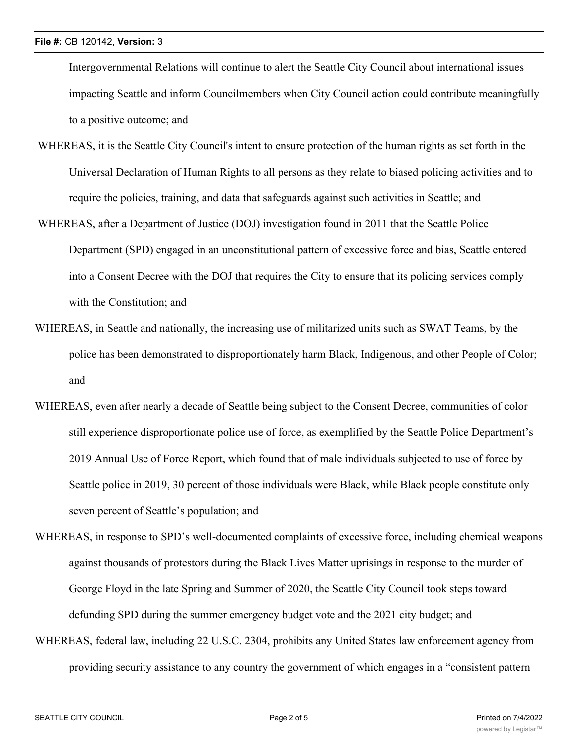Intergovernmental Relations will continue to alert the Seattle City Council about international issues impacting Seattle and inform Councilmembers when City Council action could contribute meaningfully to a positive outcome; and

- WHEREAS, it is the Seattle City Council's intent to ensure protection of the human rights as set forth in the Universal Declaration of Human Rights to all persons as they relate to biased policing activities and to require the policies, training, and data that safeguards against such activities in Seattle; and
- WHEREAS, after a Department of Justice (DOJ) investigation found in 2011 that the Seattle Police Department (SPD) engaged in an unconstitutional pattern of excessive force and bias, Seattle entered into a Consent Decree with the DOJ that requires the City to ensure that its policing services comply with the Constitution; and
- WHEREAS, in Seattle and nationally, the increasing use of militarized units such as SWAT Teams, by the police has been demonstrated to disproportionately harm Black, Indigenous, and other People of Color; and
- WHEREAS, even after nearly a decade of Seattle being subject to the Consent Decree, communities of color still experience disproportionate police use of force, as exemplified by the Seattle Police Department's 2019 Annual Use of Force Report, which found that of male individuals subjected to use of force by Seattle police in 2019, 30 percent of those individuals were Black, while Black people constitute only seven percent of Seattle's population; and
- WHEREAS, in response to SPD's well-documented complaints of excessive force, including chemical weapons against thousands of protestors during the Black Lives Matter uprisings in response to the murder of George Floyd in the late Spring and Summer of 2020, the Seattle City Council took steps toward defunding SPD during the summer emergency budget vote and the 2021 city budget; and
- WHEREAS, federal law, including 22 U.S.C. 2304, prohibits any United States law enforcement agency from providing security assistance to any country the government of which engages in a "consistent pattern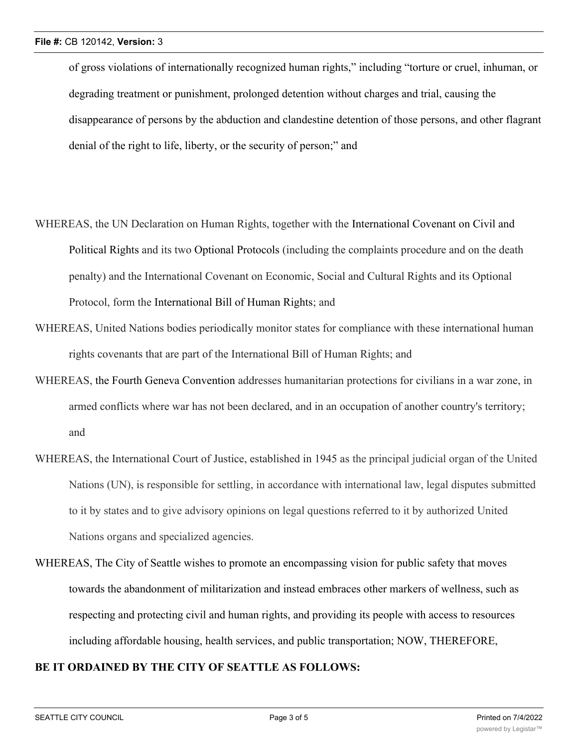of gross violations of internationally recognized human rights," including "torture or cruel, inhuman, or degrading treatment or punishment, prolonged detention without charges and trial, causing the disappearance of persons by the abduction and clandestine detention of those persons, and other flagrant denial of the right to life, liberty, or the security of person;" and

- WHEREAS, the UN Declaration on Human Rights, together with the International Covenant on Civil and Political Rights and its two Optional Protocols (including the complaints procedure and on the death penalty) and the International Covenant on Economic, Social and Cultural Rights and its Optional Protocol, form the International Bill of Human Rights; and
- WHEREAS, United Nations bodies periodically monitor states for compliance with these international human rights covenants that are part of the International Bill of Human Rights; and
- WHEREAS, the Fourth Geneva Convention addresses humanitarian protections for civilians in a war zone, in armed conflicts where war has not been declared, and in an occupation of another country's territory; and
- WHEREAS, the International Court of Justice, established in 1945 as the principal judicial organ of the United Nations (UN), is responsible for settling, in accordance with international law, legal disputes submitted to it by states and to give advisory opinions on legal questions referred to it by authorized United Nations organs and specialized agencies.
- WHEREAS, The City of Seattle wishes to promote an encompassing vision for public safety that moves towards the abandonment of militarization and instead embraces other markers of wellness, such as respecting and protecting civil and human rights, and providing its people with access to resources including affordable housing, health services, and public transportation; NOW, THEREFORE,

## **BE IT ORDAINED BY THE CITY OF SEATTLE AS FOLLOWS:**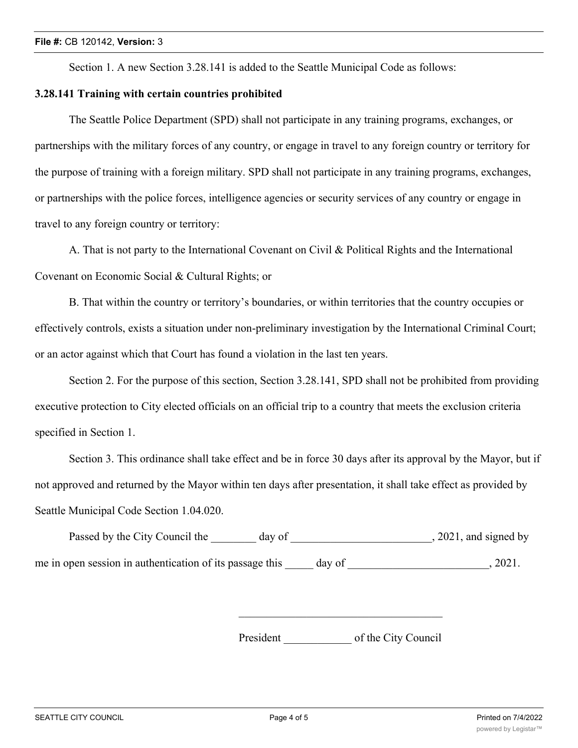Section 1. A new Section 3.28.141 is added to the Seattle Municipal Code as follows:

## **3.28.141 Training with certain countries prohibited**

The Seattle Police Department (SPD) shall not participate in any training programs, exchanges, or partnerships with the military forces of any country, or engage in travel to any foreign country or territory for the purpose of training with a foreign military. SPD shall not participate in any training programs, exchanges, or partnerships with the police forces, intelligence agencies or security services of any country or engage in travel to any foreign country or territory:

A. That is not party to the International Covenant on Civil & Political Rights and the International Covenant on Economic Social & Cultural Rights; or

B. That within the country or territory's boundaries, or within territories that the country occupies or effectively controls, exists a situation under non-preliminary investigation by the International Criminal Court; or an actor against which that Court has found a violation in the last ten years.

Section 2. For the purpose of this section, Section 3.28.141, SPD shall not be prohibited from providing executive protection to City elected officials on an official trip to a country that meets the exclusion criteria specified in Section 1.

Section 3. This ordinance shall take effect and be in force 30 days after its approval by the Mayor, but if not approved and returned by the Mayor within ten days after presentation, it shall take effect as provided by Seattle Municipal Code Section 1.04.020.

Passed by the City Council the \_\_\_\_\_\_\_ day of \_\_\_\_\_\_\_\_\_\_\_\_\_\_\_\_\_\_\_\_\_\_\_, 2021, and signed by me in open session in authentication of its passage this day of  $\qquad \qquad$ , 2021.

President of the City Council